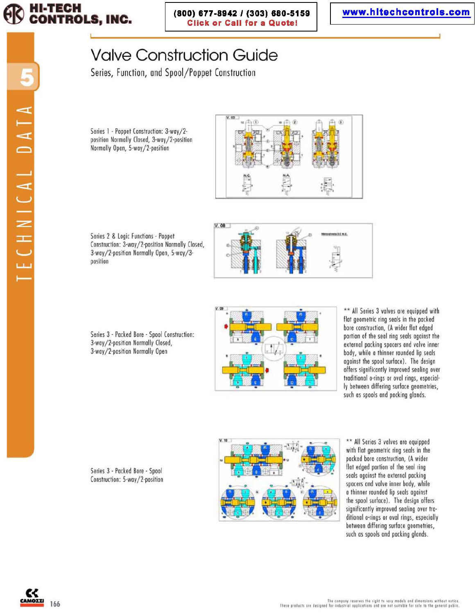

 $V.$   $00$ 

# Valve Construction Guide

Series, Function, and Spool/Poppet Construction

Series 1 - Poppet Construction: 3-way/2position Normally Closed, 3-way/2-position Normally Open, 5-way/2-position



Series 2 & Logic Functions - Poppet Construction: 3-way/2-position Normally Closed, 3-way/2-position Normally Open, 5-way/3position







\*\* All Series 3 valves are equipped with flat geometric ring seals in the pocked bore construction, (A wider flat edged portion of the seal ring seals against the external packing spacers and valve inner body, while a thinner rounded lip seals agoinst the spool surfoce). The design offers significontly improved sealing over traditional o-rings or oval rings, especial-Iy between differing surface geometries, such os spools and pocking glands .

Series 3 . Packed Bore· Spool Construction: 5-way/2-position



\*\* All Series 3 valves are equipped with flat geometric ring seals in the pocked bore construction, (A wider flat edged portion of the seal ring seals against the external packing spacers and volve inner body, while a thinner rounded lip seals against the spool surface). The design offers significantly improved sealing over traditional o-rings or oval rings, especially between differing surface geometries, such os spools and packing glonds.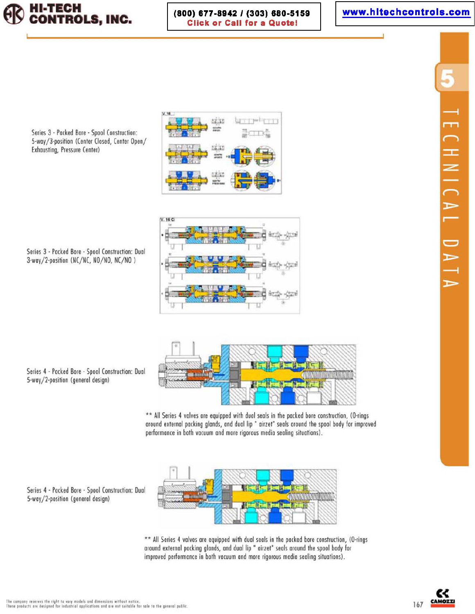

(800) 677-8942 / (303) 680-5159 **Click or Call for a Quote!** 

réir

talita

10079

## www.hitechcontrols.com



Series 3 - Packed Bore - Spool Construction: 5-way/3-position (Center Closed, Center Open/ Exhausting, Pressure Center)

 $V.16C$ 

Series 3 - Packed Bore - Spool Construction: Dual 3-way/2-position (NC/NC, NO/NO, NC/NO)



\*\* All Series 4 valves are equipped with dual seals in the packed bore construction, (O-rings around external packing glands, and dual lip " airzet" seals around the spool body for improved performance in both vacuum and more rigorous media sealing situations).



\*\* All Series 4 valves are equipped with dual seals in the packed bore construction, (O-rings around external packing glands, and dual lip " airzet" seals around the spool body for improved performance in both vacuum and more rigorous media sealing situations).

Series 4 - Packed Bore - Spool Construction: Dual 5-way/2-position (general design)

5-way/2-position (general design)

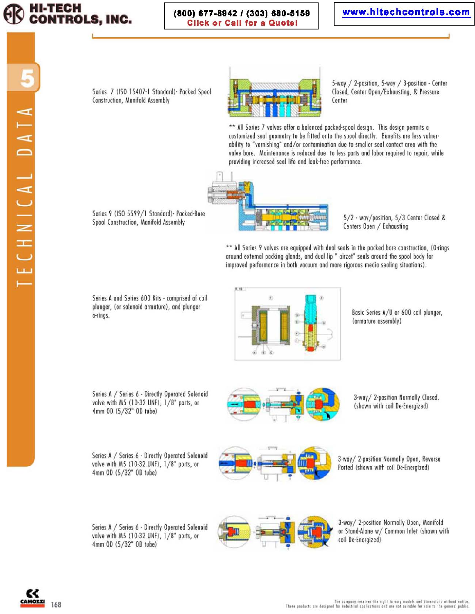

#### (800) 677-8942 / (303) 680-5159 **Click or Call for a Quote!**

# www.hitechcontrols.com

Series 7 (ISO 15407-1 Standard) - Packed Spool Construction, Manifold Assembly



5-way / 2-position, 5-way / 3-position - Center Closed, Center Open/Exhausting, & Pressure Center

\*\* All Series 7 valves offer a balanced packed-spool design. This design permits a customized seal geometry to be fitted onto the spool directly. Benefits are less vulnerability to "varnishing" and/or contamination due to smaller seal contact area with the valve bore. Maintenance is reduced due to less parts and labor required to repair, while providing increased seal life and leak-free performance.

Series 9 (ISO 5599/1 Standard) - Packed-Bore Spool Construction, Manifold Assembly



5/2 - way/position, 5/3 Center Closed & Centers Open / Exhausting

\*\* All Series 9 valves are equipped with dual seals in the packed bore construction, (O-rings around external packing glands, and dual lip " airzet" seals around the spool body for improved performance in both vacuum and more rigorous media sealing situations).

Series A and Series 600 Kits - comprised of coil plunger, (or solenoid armature), and plunger o-rings.



Basic Series A/U or 600 coil plunger, (armature assembly)

Series A / Series 6 - Directly Operated Solenoid valve with M5 (10-32 UNF), 1/8" ports, or 4mm OD (5/32" OD tube)

Series A / Series 6 - Directly Operated Solenoid valve with M5 (10-32 UNF), 1/8" ports, or 4mm OD (5/32" OD tube)

3-way/ 2-position Normally Closed, (shown with coil De-Energized)

3-way/ 2-position Normally Open, Reverse Ported (shown with coil De-Energized)





3-way/ 2-position Normally Open, Manifold or Stand-Alone w/ Common Inlet (shown with coil De-Energized)

**AMOZZI** 168